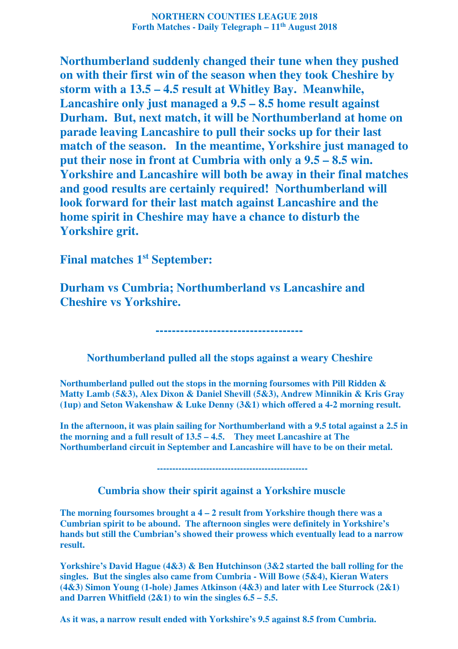**NORTHERN COUNTIES LEAGUE 2018 Forth Matches - Daily Telegraph – 11th August 2018** 

**Northumberland suddenly changed their tune when they pushed on with their first win of the season when they took Cheshire by storm with a 13.5 – 4.5 result at Whitley Bay. Meanwhile, Lancashire only just managed a 9.5 – 8.5 home result against Durham. But, next match, it will be Northumberland at home on parade leaving Lancashire to pull their socks up for their last match of the season. In the meantime, Yorkshire just managed to put their nose in front at Cumbria with only a 9.5 – 8.5 win. Yorkshire and Lancashire will both be away in their final matches and good results are certainly required! Northumberland will look forward for their last match against Lancashire and the home spirit in Cheshire may have a chance to disturb the Yorkshire grit.** 

**Final matches 1st September:** 

**Durham vs Cumbria; Northumberland vs Lancashire and Cheshire vs Yorkshire.** 

 **Northumberland pulled all the stops against a weary Cheshire** 

 **------------------------------------** 

**Northumberland pulled out the stops in the morning foursomes with Pill Ridden & Matty Lamb (5&3), Alex Dixon & Daniel Shevill (5&3), Andrew Minnikin & Kris Gray (1up) and Seton Wakenshaw & Luke Denny (3&1) which offered a 4-2 morning result.** 

**In the afternoon, it was plain sailing for Northumberland with a 9.5 total against a 2.5 in the morning and a full result of 13.5 – 4.5. They meet Lancashire at The Northumberland circuit in September and Lancashire will have to be on their metal.** 

 **-------------------------------------------------** 

 **Cumbria show their spirit against a Yorkshire muscle** 

**The morning foursomes brought a 4 – 2 result from Yorkshire though there was a Cumbrian spirit to be abound. The afternoon singles were definitely in Yorkshire's hands but still the Cumbrian's showed their prowess which eventually lead to a narrow result.** 

**Yorkshire's David Hague (4&3) & Ben Hutchinson (3&2 started the ball rolling for the singles. But the singles also came from Cumbria - Will Bowe (5&4), Kieran Waters (4&3) Simon Young (1-hole) James Atkinson (4&3) and later with Lee Sturrock (2&1) and Darren Whitfield (2&1) to win the singles 6.5 – 5.5.** 

**As it was, a narrow result ended with Yorkshire's 9.5 against 8.5 from Cumbria.**